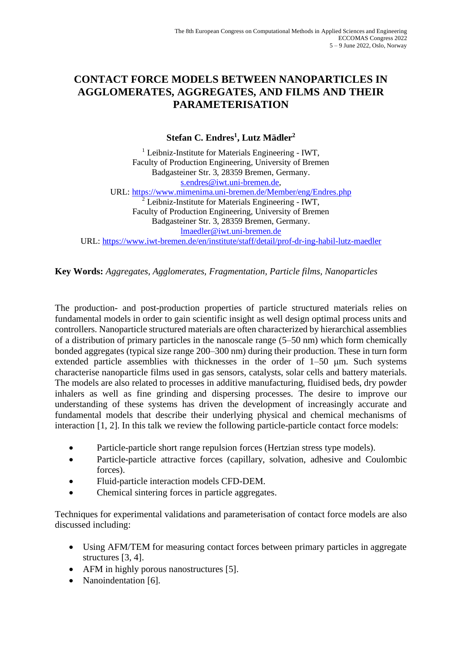## **CONTACT FORCE MODELS BETWEEN NANOPARTICLES IN AGGLOMERATES, AGGREGATES, AND FILMS AND THEIR PARAMETERISATION**

**Stefan C. Endres<sup>1</sup> , Lutz Mädler<sup>2</sup>**

<sup>1</sup> Leibniz-Institute for Materials Engineering - IWT, Faculty of Production Engineering, University of Bremen Badgasteiner Str. 3, 28359 Bremen, Germany. [s.endres@iwt.uni-bremen.de,](mailto:s.endres@iwt.uni-bremen.de) URL:<https://www.mimenima.uni-bremen.de/Member/eng/Endres.php> <sup>2</sup> Leibniz-Institute for Materials Engineering - IWT, Faculty of Production Engineering, University of Bremen Badgasteiner Str. 3, 28359 Bremen, Germany. [lmaedler@iwt.uni-bremen.de](mailto:lmaedler@iwt.uni-bremen.de) URL[: https://www.iwt-bremen.de/en/institute/staff/detail/prof-dr-ing-habil-lutz-maedler](https://www.iwt-bremen.de/en/institute/staff/detail/prof-dr-ing-habil-lutz-maedler)

**Key Words:** *Aggregates, Agglomerates, Fragmentation, Particle films, Nanoparticles*

The production- and post-production properties of particle structured materials relies on fundamental models in order to gain scientific insight as well design optimal process units and controllers. Nanoparticle structured materials are often characterized by hierarchical assemblies of a distribution of primary particles in the nanoscale range (5–50 nm) which form chemically bonded aggregates (typical size range 200–300 nm) during their production. These in turn form extended particle assemblies with thicknesses in the order of 1–50 μm. Such systems characterise nanoparticle films used in gas sensors, catalysts, solar cells and battery materials. The models are also related to processes in additive manufacturing, fluidised beds, dry powder inhalers as well as fine grinding and dispersing processes. The desire to improve our understanding of these systems has driven the development of increasingly accurate and fundamental models that describe their underlying physical and chemical mechanisms of interaction [1, 2]. In this talk we review the following particle-particle contact force models:

- Particle-particle short range repulsion forces (Hertzian stress type models).
- Particle-particle attractive forces (capillary, solvation, adhesive and Coulombic forces).
- Fluid-particle interaction models CFD-DEM.
- Chemical sintering forces in particle aggregates.

Techniques for experimental validations and parameterisation of contact force models are also discussed including:

- Using AFM/TEM for measuring contact forces between primary particles in aggregate structures [3, 4].
- AFM in highly porous nanostructures [5].
- Nanoindentation [6].